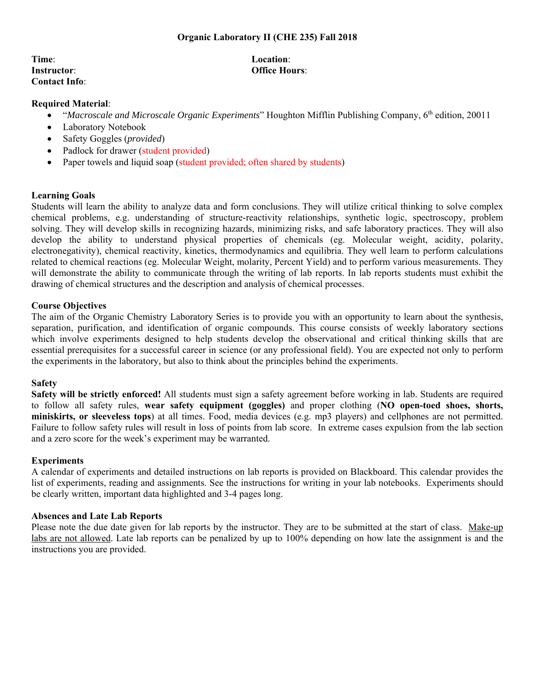#### **Organic Laboratory II (CHE 235) Fall 2018**

**Time**: **Location**: **Instructor**: **Office Hours**: **Contact Info**:

#### **Required Material**:

- "*Macroscale and Microscale Organic Experiments*" Houghton Mifflin Publishing Company, 6<sup>th</sup> edition, 20011
- Laboratory Notebook
- Safety Goggles (*provided*)
- Padlock for drawer (student provided)
- Paper towels and liquid soap (student provided; often shared by students)

#### **Learning Goals**

Students will learn the ability to analyze data and form conclusions. They will utilize critical thinking to solve complex chemical problems, e.g. understanding of structure-reactivity relationships, synthetic logic, spectroscopy, problem solving. They will develop skills in recognizing hazards, minimizing risks, and safe laboratory practices. They will also develop the ability to understand physical properties of chemicals (eg. Molecular weight, acidity, polarity, electronegativity), chemical reactivity, kinetics, thermodynamics and equilibria. They well learn to perform calculations related to chemical reactions (eg. Molecular Weight, molarity, Percent Yield) and to perform various measurements. They will demonstrate the ability to communicate through the writing of lab reports. In lab reports students must exhibit the drawing of chemical structures and the description and analysis of chemical processes.

#### **Course Objectives**

The aim of the Organic Chemistry Laboratory Series is to provide you with an opportunity to learn about the synthesis, separation, purification, and identification of organic compounds. This course consists of weekly laboratory sections which involve experiments designed to help students develop the observational and critical thinking skills that are essential prerequisites for a successful career in science (or any professional field). You are expected not only to perform the experiments in the laboratory, but also to think about the principles behind the experiments.

#### **Safety**

**Safety will be strictly enforced!** All students must sign a safety agreement before working in lab. Students are required to follow all safety rules, **wear safety equipment (goggles)** and proper clothing (**NO open-toed shoes, shorts, miniskirts, or sleeveless tops**) at all times. Food, media devices (e.g. mp3 players) and cellphones are not permitted. Failure to follow safety rules will result in loss of points from lab score. In extreme cases expulsion from the lab section and a zero score for the week's experiment may be warranted.

#### **Experiments**

A calendar of experiments and detailed instructions on lab reports is provided on Blackboard. This calendar provides the list of experiments, reading and assignments. See the instructions for writing in your lab notebooks. Experiments should be clearly written, important data highlighted and 3-4 pages long.

#### **Absences and Late Lab Reports**

Please note the due date given for lab reports by the instructor. They are to be submitted at the start of class. Make-up labs are not allowed. Late lab reports can be penalized by up to 100% depending on how late the assignment is and the instructions you are provided.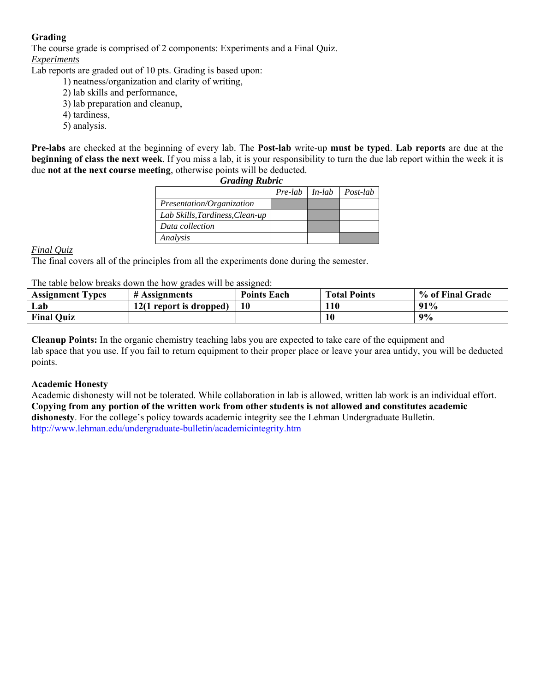## **Grading**

The course grade is comprised of 2 components: Experiments and a Final Quiz. *Experiments*

Lab reports are graded out of 10 pts. Grading is based upon:

- 1) neatness/organization and clarity of writing,
- 2) lab skills and performance,
- 3) lab preparation and cleanup,
- 4) tardiness,
- 5) analysis.

**Pre-labs** are checked at the beginning of every lab. The **Post-lab** write-up **must be typed**. **Lab reports** are due at the **beginning of class the next week**. If you miss a lab, it is your responsibility to turn the due lab report within the week it is due **not at the next course meeting**, otherwise points will be deducted.

| <b>Grading Rubric</b>           |                          |  |          |
|---------------------------------|--------------------------|--|----------|
|                                 | $Pre$ -lab $\mid$ In-lab |  | Post-lab |
| Presentation/Organization       |                          |  |          |
| Lab Skills, Tardiness, Clean-up |                          |  |          |
| Data collection                 |                          |  |          |
| Analysis                        |                          |  |          |

### *Final Quiz*

The final covers all of the principles from all the experiments done during the semester.

The table below breaks down the how grades will be assigned:

| <b>Assignment Types</b> | # Assignments           | <b>Points Each</b> | <b>Total Points</b> | % of Final Grade |
|-------------------------|-------------------------|--------------------|---------------------|------------------|
| Lab                     | 12(1 report is dropped) | 10                 | 110                 | 91%              |
| <b>Final Quiz</b>       |                         |                    | <b>10</b>           | 9%               |

**Cleanup Points:** In the organic chemistry teaching labs you are expected to take care of the equipment and lab space that you use. If you fail to return equipment to their proper place or leave your area untidy, you will be deducted points.

#### **Academic Honesty**

Academic dishonesty will not be tolerated. While collaboration in lab is allowed, written lab work is an individual effort. **Copying from any portion of the written work from other students is not allowed and constitutes academic dishonesty**. For the college's policy towards academic integrity see the Lehman Undergraduate Bulletin. http://www.lehman.edu/undergraduate-bulletin/academicintegrity.htm